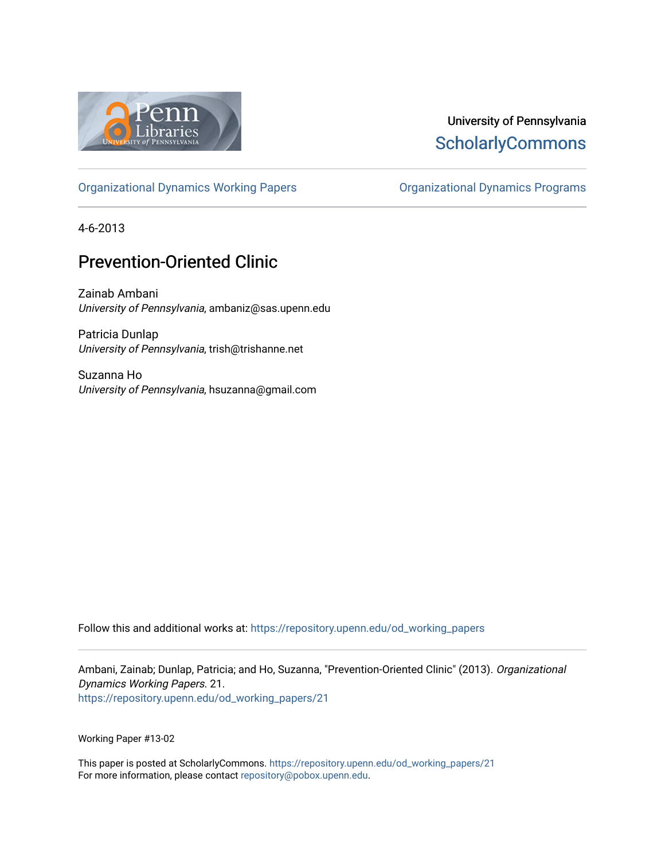

## University of Pennsylvania **ScholarlyCommons**

[Organizational Dynamics Working Papers](https://repository.upenn.edu/od_working_papers) [Organizational Dynamics Programs](https://repository.upenn.edu/organizational_dynamics) 

4-6-2013

# Prevention-Oriented Clinic

Zainab Ambani University of Pennsylvania, ambaniz@sas.upenn.edu

Patricia Dunlap University of Pennsylvania, trish@trishanne.net

Suzanna Ho University of Pennsylvania, hsuzanna@gmail.com

Follow this and additional works at: [https://repository.upenn.edu/od\\_working\\_papers](https://repository.upenn.edu/od_working_papers?utm_source=repository.upenn.edu%2Fod_working_papers%2F21&utm_medium=PDF&utm_campaign=PDFCoverPages) 

Ambani, Zainab; Dunlap, Patricia; and Ho, Suzanna, "Prevention-Oriented Clinic" (2013). Organizational Dynamics Working Papers. 21. [https://repository.upenn.edu/od\\_working\\_papers/21](https://repository.upenn.edu/od_working_papers/21?utm_source=repository.upenn.edu%2Fod_working_papers%2F21&utm_medium=PDF&utm_campaign=PDFCoverPages)

Working Paper #13-02

This paper is posted at ScholarlyCommons. [https://repository.upenn.edu/od\\_working\\_papers/21](https://repository.upenn.edu/od_working_papers/21) For more information, please contact [repository@pobox.upenn.edu.](mailto:repository@pobox.upenn.edu)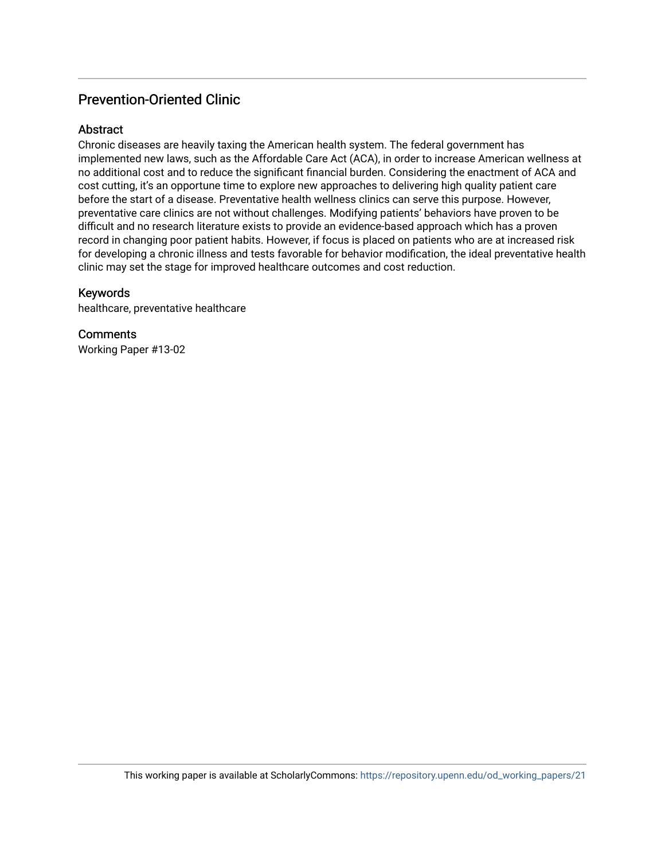## Prevention-Oriented Clinic

## Abstract

Chronic diseases are heavily taxing the American health system. The federal government has implemented new laws, such as the Affordable Care Act (ACA), in order to increase American wellness at no additional cost and to reduce the significant financial burden. Considering the enactment of ACA and cost cutting, it's an opportune time to explore new approaches to delivering high quality patient care before the start of a disease. Preventative health wellness clinics can serve this purpose. However, preventative care clinics are not without challenges. Modifying patients' behaviors have proven to be difficult and no research literature exists to provide an evidence-based approach which has a proven record in changing poor patient habits. However, if focus is placed on patients who are at increased risk for developing a chronic illness and tests favorable for behavior modification, the ideal preventative health clinic may set the stage for improved healthcare outcomes and cost reduction.

## Keywords

healthcare, preventative healthcare

**Comments** Working Paper #13-02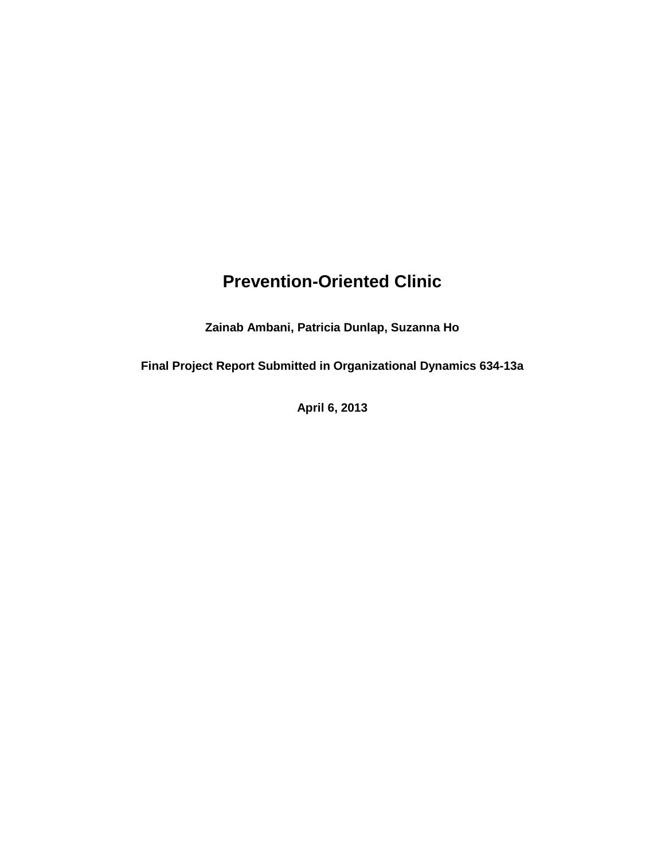# **Prevention-Oriented Clinic**

**Zainab Ambani, Patricia Dunlap, Suzanna Ho** 

**Final Project Report Submitted in Organizational Dynamics 634-13a**

**April 6, 2013**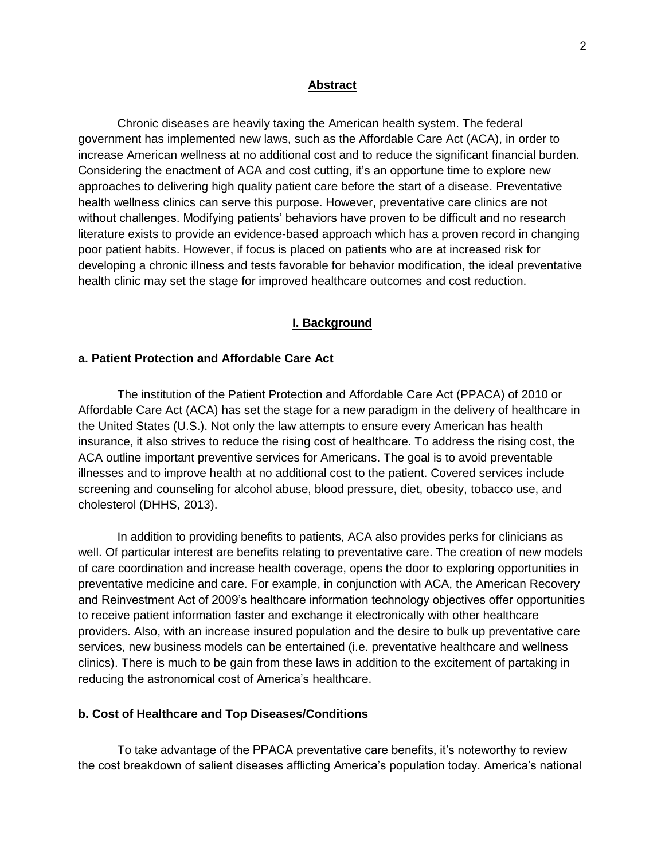#### **Abstract**

Chronic diseases are heavily taxing the American health system. The federal government has implemented new laws, such as the Affordable Care Act (ACA), in order to increase American wellness at no additional cost and to reduce the significant financial burden. Considering the enactment of ACA and cost cutting, it's an opportune time to explore new approaches to delivering high quality patient care before the start of a disease. Preventative health wellness clinics can serve this purpose. However, preventative care clinics are not without challenges. Modifying patients' behaviors have proven to be difficult and no research literature exists to provide an evidence-based approach which has a proven record in changing poor patient habits. However, if focus is placed on patients who are at increased risk for developing a chronic illness and tests favorable for behavior modification, the ideal preventative health clinic may set the stage for improved healthcare outcomes and cost reduction.

#### **I. Background**

### **a. Patient Protection and Affordable Care Act**

The institution of the Patient Protection and Affordable Care Act (PPACA) of 2010 or Affordable Care Act (ACA) has set the stage for a new paradigm in the delivery of healthcare in the United States (U.S.). Not only the law attempts to ensure every American has health insurance, it also strives to reduce the rising cost of healthcare. To address the rising cost, the ACA outline important preventive services for Americans. The goal is to avoid preventable illnesses and to improve health at no additional cost to the patient. Covered services include screening and counseling for alcohol abuse, blood pressure, diet, obesity, tobacco use, and cholesterol (DHHS, 2013).

In addition to providing benefits to patients, ACA also provides perks for clinicians as well. Of particular interest are benefits relating to preventative care. The creation of new models of care coordination and increase health coverage, opens the door to exploring opportunities in preventative medicine and care. For example, in conjunction with ACA, the American Recovery and Reinvestment Act of 2009's healthcare information technology objectives offer opportunities to receive patient information faster and exchange it electronically with other healthcare providers. Also, with an increase insured population and the desire to bulk up preventative care services, new business models can be entertained (i.e. preventative healthcare and wellness clinics). There is much to be gain from these laws in addition to the excitement of partaking in reducing the astronomical cost of America's healthcare.

#### **b. Cost of Healthcare and Top Diseases/Conditions**

To take advantage of the PPACA preventative care benefits, it's noteworthy to review the cost breakdown of salient diseases afflicting America's population today. America's national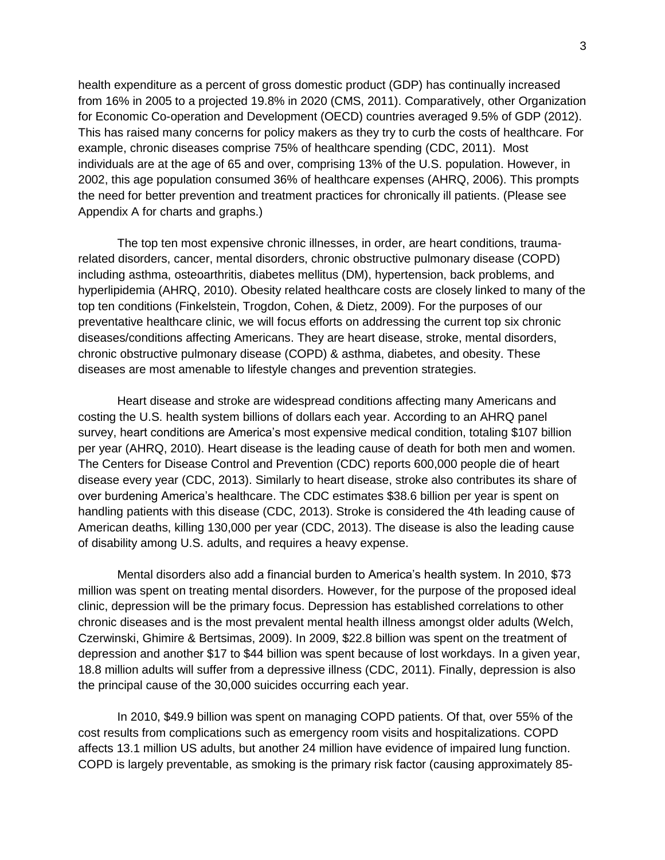health expenditure as a percent of gross domestic product (GDP) has continually increased from 16% in 2005 to a projected 19.8% in 2020 (CMS, 2011). Comparatively, other Organization for Economic Co-operation and Development (OECD) countries averaged 9.5% of GDP (2012). This has raised many concerns for policy makers as they try to curb the costs of healthcare. For example, chronic diseases comprise 75% of healthcare spending (CDC, 2011). Most individuals are at the age of 65 and over, comprising 13% of the U.S. population. However, in 2002, this age population consumed 36% of healthcare expenses (AHRQ, 2006). This prompts the need for better prevention and treatment practices for chronically ill patients. (Please see Appendix A for charts and graphs.)

The top ten most expensive chronic illnesses, in order, are heart conditions, traumarelated disorders, cancer, mental disorders, chronic obstructive pulmonary disease (COPD) including asthma, osteoarthritis, diabetes mellitus (DM), hypertension, back problems, and hyperlipidemia (AHRQ, 2010). Obesity related healthcare costs are closely linked to many of the top ten conditions (Finkelstein, Trogdon, Cohen, & Dietz, 2009). For the purposes of our preventative healthcare clinic, we will focus efforts on addressing the current top six chronic diseases/conditions affecting Americans. They are heart disease, stroke, mental disorders, chronic obstructive pulmonary disease (COPD) & asthma, diabetes, and obesity. These diseases are most amenable to lifestyle changes and prevention strategies.

Heart disease and stroke are widespread conditions affecting many Americans and costing the U.S. health system billions of dollars each year. According to an AHRQ panel survey, heart conditions are America's most expensive medical condition, totaling \$107 billion per year (AHRQ, 2010). Heart disease is the leading cause of death for both men and women. The Centers for Disease Control and Prevention (CDC) reports 600,000 people die of heart disease every year (CDC, 2013). Similarly to heart disease, stroke also contributes its share of over burdening America's healthcare. The CDC estimates \$38.6 billion per year is spent on handling patients with this disease (CDC, 2013). Stroke is considered the 4th leading cause of American deaths, killing 130,000 per year (CDC, 2013). The disease is also the leading cause of disability among U.S. adults, and requires a heavy expense.

Mental disorders also add a financial burden to America's health system. In 2010, \$73 million was spent on treating mental disorders. However, for the purpose of the proposed ideal clinic, depression will be the primary focus. Depression has established correlations to other chronic diseases and is the most prevalent mental health illness amongst older adults (Welch, Czerwinski, Ghimire & Bertsimas, 2009). In 2009, \$22.8 billion was spent on the treatment of depression and another \$17 to \$44 billion was spent because of lost workdays. In a given year, 18.8 million adults will suffer from a depressive illness (CDC, 2011). Finally, depression is also the principal cause of the 30,000 suicides occurring each year.

In 2010, \$49.9 billion was spent on managing COPD patients. Of that, over 55% of the cost results from complications such as emergency room visits and hospitalizations. COPD affects 13.1 million US adults, but another 24 million have evidence of impaired lung function. COPD is largely preventable, as smoking is the primary risk factor (causing approximately 85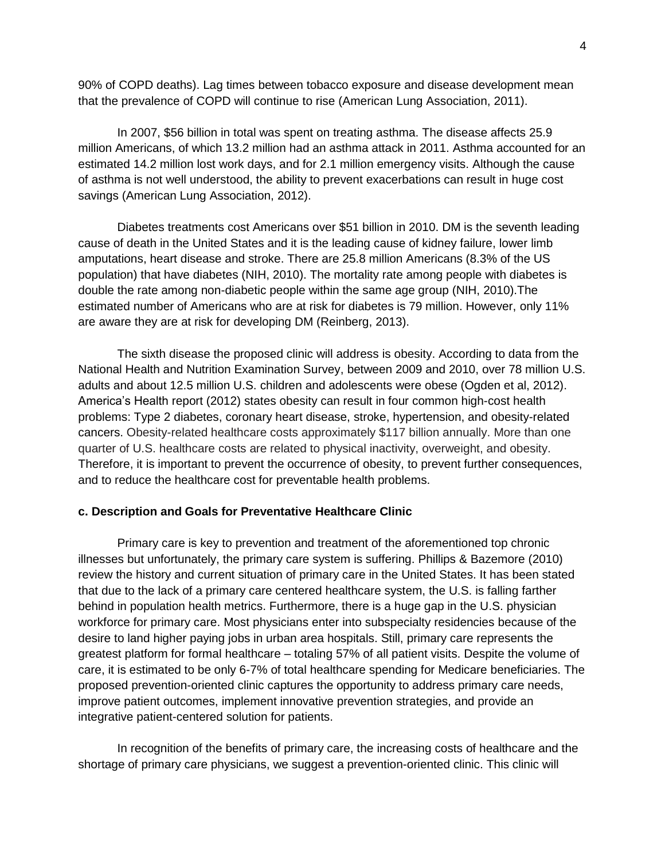90% of COPD deaths). Lag times between tobacco exposure and disease development mean that the prevalence of COPD will continue to rise (American Lung Association, 2011).

In 2007, \$56 billion in total was spent on treating asthma. The disease affects 25.9 million Americans, of which 13.2 million had an asthma attack in 2011. Asthma accounted for an estimated 14.2 million lost work days, and for 2.1 million emergency visits. Although the cause of asthma is not well understood, the ability to prevent exacerbations can result in huge cost savings (American Lung Association, 2012).

Diabetes treatments cost Americans over \$51 billion in 2010. DM is the seventh leading cause of death in the United States and it is the leading cause of kidney failure, lower limb amputations, heart disease and stroke. There are 25.8 million Americans (8.3% of the US population) that have diabetes (NIH, 2010). The mortality rate among people with diabetes is double the rate among non-diabetic people within the same age group (NIH, 2010).The estimated number of Americans who are at risk for diabetes is 79 million. However, only 11% are aware they are at risk for developing DM (Reinberg, 2013).

The sixth disease the proposed clinic will address is obesity. According to data from the National Health and Nutrition Examination Survey, between 2009 and 2010, over 78 million U.S. adults and about 12.5 million U.S. children and adolescents were obese (Ogden et al, 2012). America's Health report (2012) states obesity can result in four common high-cost health problems: Type 2 diabetes, coronary heart disease, stroke, hypertension, and obesity-related cancers. Obesity-related healthcare costs approximately \$117 billion annually. More than one quarter of U.S. healthcare costs are related to physical inactivity, overweight, and obesity. Therefore, it is important to prevent the occurrence of obesity, to prevent further consequences, and to reduce the healthcare cost for preventable health problems.

## **c. Description and Goals for Preventative Healthcare Clinic**

Primary care is key to prevention and treatment of the aforementioned top chronic illnesses but unfortunately, the primary care system is suffering. Phillips & Bazemore (2010) review the history and current situation of primary care in the United States. It has been stated that due to the lack of a primary care centered healthcare system, the U.S. is falling farther behind in population health metrics. Furthermore, there is a huge gap in the U.S. physician workforce for primary care. Most physicians enter into subspecialty residencies because of the desire to land higher paying jobs in urban area hospitals. Still, primary care represents the greatest platform for formal healthcare – totaling 57% of all patient visits. Despite the volume of care, it is estimated to be only 6-7% of total healthcare spending for Medicare beneficiaries. The proposed prevention-oriented clinic captures the opportunity to address primary care needs, improve patient outcomes, implement innovative prevention strategies, and provide an integrative patient-centered solution for patients.

In recognition of the benefits of primary care, the increasing costs of healthcare and the shortage of primary care physicians, we suggest a prevention-oriented clinic. This clinic will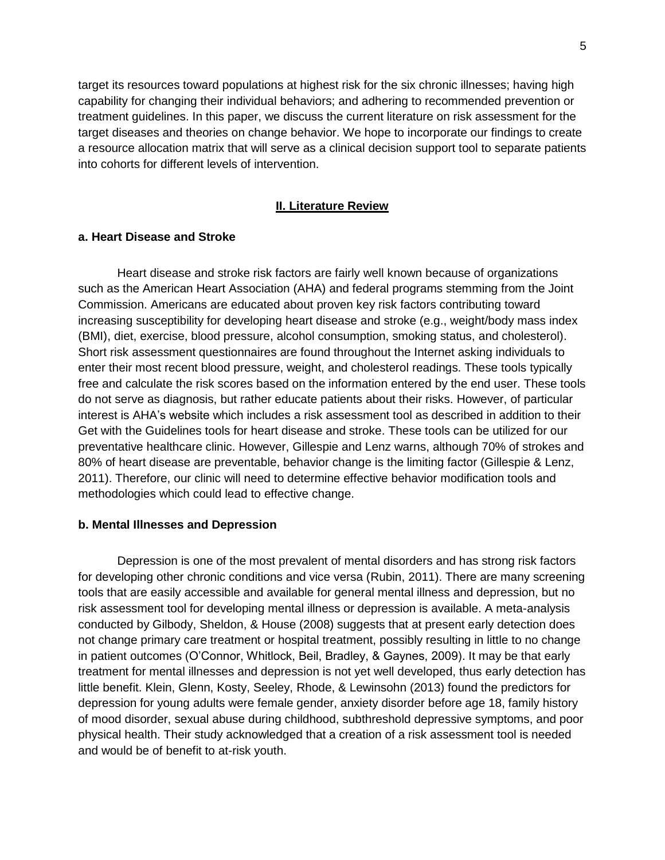target its resources toward populations at highest risk for the six chronic illnesses; having high capability for changing their individual behaviors; and adhering to recommended prevention or treatment guidelines. In this paper, we discuss the current literature on risk assessment for the target diseases and theories on change behavior. We hope to incorporate our findings to create a resource allocation matrix that will serve as a clinical decision support tool to separate patients into cohorts for different levels of intervention.

#### **II. Literature Review**

#### **a. Heart Disease and Stroke**

Heart disease and stroke risk factors are fairly well known because of organizations such as the American Heart Association (AHA) and federal programs stemming from the Joint Commission. Americans are educated about proven key risk factors contributing toward increasing susceptibility for developing heart disease and stroke (e.g., weight/body mass index (BMI), diet, exercise, blood pressure, alcohol consumption, smoking status, and cholesterol). Short risk assessment questionnaires are found throughout the Internet asking individuals to enter their most recent blood pressure, weight, and cholesterol readings. These tools typically free and calculate the risk scores based on the information entered by the end user. These tools do not serve as diagnosis, but rather educate patients about their risks. However, of particular interest is AHA's website which includes a risk assessment tool as described in addition to their Get with the Guidelines tools for heart disease and stroke. These tools can be utilized for our preventative healthcare clinic. However, Gillespie and Lenz warns, although 70% of strokes and 80% of heart disease are preventable, behavior change is the limiting factor (Gillespie & Lenz, 2011). Therefore, our clinic will need to determine effective behavior modification tools and methodologies which could lead to effective change.

#### **b. Mental Illnesses and Depression**

Depression is one of the most prevalent of mental disorders and has strong risk factors for developing other chronic conditions and vice versa (Rubin, 2011). There are many screening tools that are easily accessible and available for general mental illness and depression, but no risk assessment tool for developing mental illness or depression is available. A meta-analysis conducted by Gilbody, Sheldon, & House (2008) suggests that at present early detection does not change primary care treatment or hospital treatment, possibly resulting in little to no change in patient outcomes (O'Connor, Whitlock, Beil, Bradley, & Gaynes, 2009). It may be that early treatment for mental illnesses and depression is not yet well developed, thus early detection has little benefit. Klein, Glenn, Kosty, Seeley, Rhode, & Lewinsohn (2013) found the predictors for depression for young adults were female gender, anxiety disorder before age 18, family history of mood disorder, sexual abuse during childhood, subthreshold depressive symptoms, and poor physical health. Their study acknowledged that a creation of a risk assessment tool is needed and would be of benefit to at-risk youth.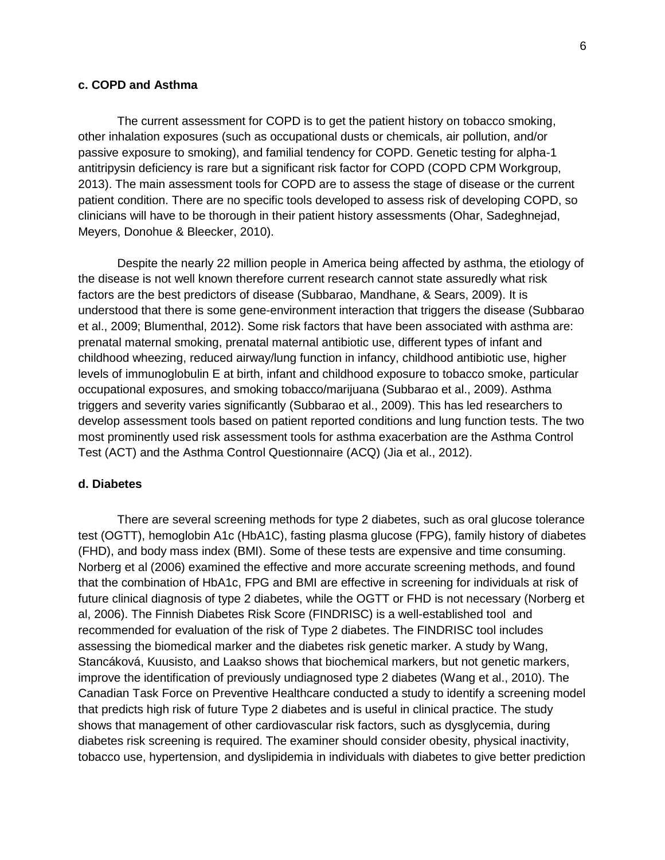#### **c. COPD and Asthma**

The current assessment for COPD is to get the patient history on tobacco smoking, other inhalation exposures (such as occupational dusts or chemicals, air pollution, and/or passive exposure to smoking), and familial tendency for COPD. Genetic testing for alpha-1 antitripysin deficiency is rare but a significant risk factor for COPD (COPD CPM Workgroup, 2013). The main assessment tools for COPD are to assess the stage of disease or the current patient condition. There are no specific tools developed to assess risk of developing COPD, so clinicians will have to be thorough in their patient history assessments (Ohar, Sadeghnejad, Meyers, Donohue & Bleecker, 2010).

Despite the nearly 22 million people in America being affected by asthma, the etiology of the disease is not well known therefore current research cannot state assuredly what risk factors are the best predictors of disease (Subbarao, Mandhane, & Sears, 2009). It is understood that there is some gene-environment interaction that triggers the disease (Subbarao et al., 2009; Blumenthal, 2012). Some risk factors that have been associated with asthma are: prenatal maternal smoking, prenatal maternal antibiotic use, different types of infant and childhood wheezing, reduced airway/lung function in infancy, childhood antibiotic use, higher levels of immunoglobulin E at birth, infant and childhood exposure to tobacco smoke, particular occupational exposures, and smoking tobacco/marijuana (Subbarao et al., 2009). Asthma triggers and severity varies significantly (Subbarao et al., 2009). This has led researchers to develop assessment tools based on patient reported conditions and lung function tests. The two most prominently used risk assessment tools for asthma exacerbation are the Asthma Control Test (ACT) and the Asthma Control Questionnaire (ACQ) (Jia et al., 2012).

#### **d. Diabetes**

There are several screening methods for type 2 diabetes, such as oral glucose tolerance test (OGTT), hemoglobin A1c (HbA1C), fasting plasma glucose (FPG), family history of diabetes (FHD), and body mass index (BMI). Some of these tests are expensive and time consuming. Norberg et al (2006) examined the effective and more accurate screening methods, and found that the combination of HbA1c, FPG and BMI are effective in screening for individuals at risk of future clinical diagnosis of type 2 diabetes, while the OGTT or FHD is not necessary (Norberg et al, 2006). The Finnish Diabetes Risk Score (FINDRISC) is a well-established tool and recommended for evaluation of the risk of Type 2 diabetes. The FINDRISC tool includes assessing the biomedical marker and the diabetes risk genetic marker. A study by Wang, Stancáková, Kuusisto, and Laakso shows that biochemical markers, but not genetic markers, improve the identification of previously undiagnosed type 2 diabetes (Wang et al., 2010). The Canadian Task Force on Preventive Healthcare conducted a study to identify a screening model that predicts high risk of future Type 2 diabetes and is useful in clinical practice. The study shows that management of other cardiovascular risk factors, such as dysglycemia, during diabetes risk screening is required. The examiner should consider obesity, physical inactivity, tobacco use, hypertension, and dyslipidemia in individuals with diabetes to give better prediction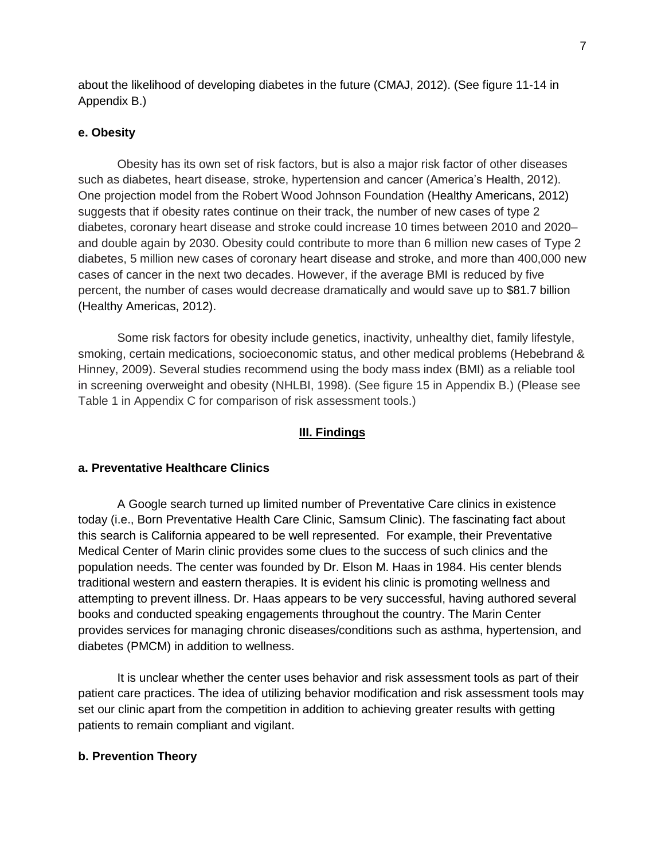about the likelihood of developing diabetes in the future (CMAJ, 2012). (See figure 11-14 in Appendix B.)

### **e. Obesity**

Obesity has its own set of risk factors, but is also a major risk factor of other diseases such as diabetes, heart disease, stroke, hypertension and cancer (America's Health, 2012). One projection model from the Robert Wood Johnson Foundation (Healthy Americans, 2012) suggests that if obesity rates continue on their track, the number of new cases of type 2 diabetes, coronary heart disease and stroke could increase 10 times between 2010 and 2020– and double again by 2030. Obesity could contribute to more than 6 million new cases of Type 2 diabetes, 5 million new cases of coronary heart disease and stroke, and more than 400,000 new cases of cancer in the next two decades. However, if the average BMI is reduced by five percent, the number of cases would decrease dramatically and would save up to \$81.7 billion (Healthy Americas, 2012).

Some risk factors for obesity include genetics, inactivity, unhealthy diet, family lifestyle, smoking, certain medications, socioeconomic status, and other medical problems (Hebebrand & Hinney, 2009). Several studies recommend using the body mass index (BMI) as a reliable tool in screening overweight and obesity (NHLBI, 1998). (See figure 15 in Appendix B.) (Please see Table 1 in Appendix C for comparison of risk assessment tools.)

#### **III. Findings**

#### **a. Preventative Healthcare Clinics**

A Google search turned up limited number of Preventative Care clinics in existence today (i.e., Born Preventative Health Care Clinic, Samsum Clinic). The fascinating fact about this search is California appeared to be well represented. For example, their Preventative Medical Center of Marin clinic provides some clues to the success of such clinics and the population needs. The center was founded by Dr. Elson M. Haas in 1984. His center blends traditional western and eastern therapies. It is evident his clinic is promoting wellness and attempting to prevent illness. Dr. Haas appears to be very successful, having authored several books and conducted speaking engagements throughout the country. The Marin Center provides services for managing chronic diseases/conditions such as asthma, hypertension, and diabetes (PMCM) in addition to wellness.

It is unclear whether the center uses behavior and risk assessment tools as part of their patient care practices. The idea of utilizing behavior modification and risk assessment tools may set our clinic apart from the competition in addition to achieving greater results with getting patients to remain compliant and vigilant.

#### **b. Prevention Theory**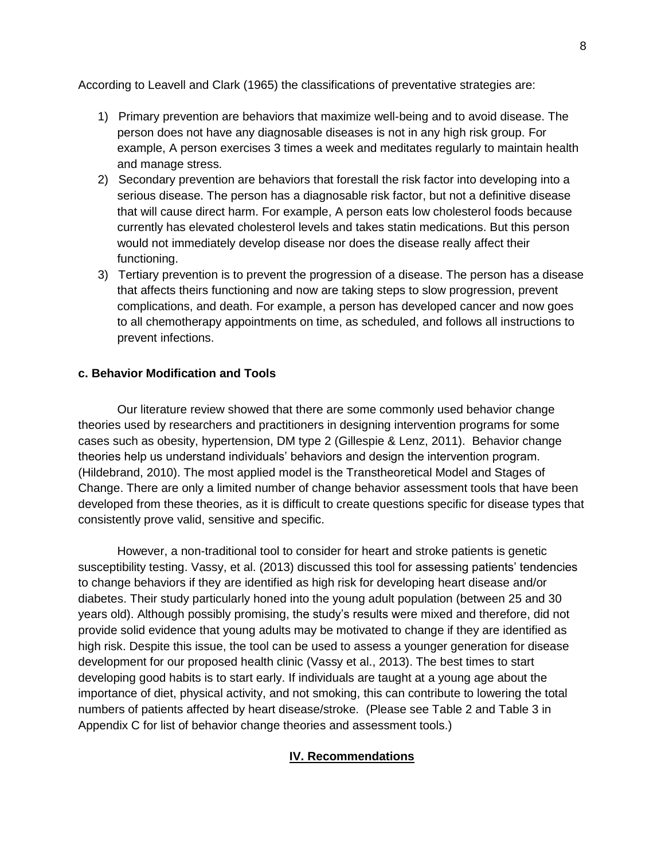According to Leavell and Clark (1965) the classifications of preventative strategies are:

- 1) Primary prevention are behaviors that maximize well-being and to avoid disease. The person does not have any diagnosable diseases is not in any high risk group. For example, A person exercises 3 times a week and meditates regularly to maintain health and manage stress.
- 2) Secondary prevention are behaviors that forestall the risk factor into developing into a serious disease. The person has a diagnosable risk factor, but not a definitive disease that will cause direct harm. For example, A person eats low cholesterol foods because currently has elevated cholesterol levels and takes statin medications. But this person would not immediately develop disease nor does the disease really affect their functioning.
- 3) Tertiary prevention is to prevent the progression of a disease. The person has a disease that affects theirs functioning and now are taking steps to slow progression, prevent complications, and death. For example, a person has developed cancer and now goes to all chemotherapy appointments on time, as scheduled, and follows all instructions to prevent infections.

### **c. Behavior Modification and Tools**

Our literature review showed that there are some commonly used behavior change theories used by researchers and practitioners in designing intervention programs for some cases such as obesity, hypertension, DM type 2 (Gillespie & Lenz, 2011). Behavior change theories help us understand individuals' behaviors and design the intervention program. (Hildebrand, 2010). The most applied model is the Transtheoretical Model and Stages of Change. There are only a limited number of change behavior assessment tools that have been developed from these theories, as it is difficult to create questions specific for disease types that consistently prove valid, sensitive and specific.

 However, a non-traditional tool to consider for heart and stroke patients is genetic susceptibility testing. Vassy, et al. (2013) discussed this tool for assessing patients' tendencies to change behaviors if they are identified as high risk for developing heart disease and/or diabetes. Their study particularly honed into the young adult population (between 25 and 30 years old). Although possibly promising, the study's results were mixed and therefore, did not provide solid evidence that young adults may be motivated to change if they are identified as high risk. Despite this issue, the tool can be used to assess a younger generation for disease development for our proposed health clinic (Vassy et al., 2013). The best times to start developing good habits is to start early. If individuals are taught at a young age about the importance of diet, physical activity, and not smoking, this can contribute to lowering the total numbers of patients affected by heart disease/stroke. (Please see Table 2 and Table 3 in Appendix C for list of behavior change theories and assessment tools.)

## **IV. Recommendations**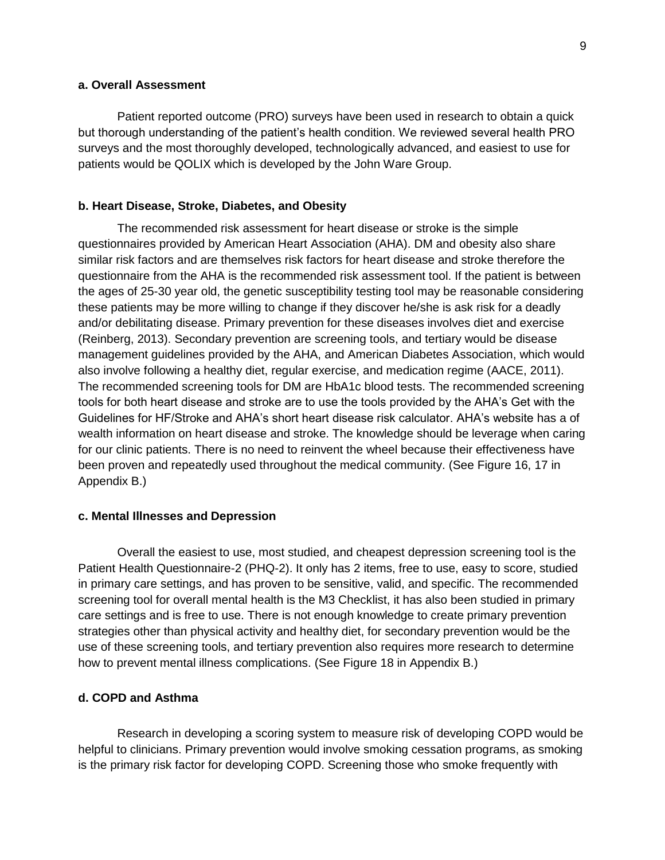#### **a. Overall Assessment**

Patient reported outcome (PRO) surveys have been used in research to obtain a quick but thorough understanding of the patient's health condition. We reviewed several health PRO surveys and the most thoroughly developed, technologically advanced, and easiest to use for patients would be QOLIX which is developed by the John Ware Group.

#### **b. Heart Disease, Stroke, Diabetes, and Obesity**

The recommended risk assessment for heart disease or stroke is the simple questionnaires provided by American Heart Association (AHA). DM and obesity also share similar risk factors and are themselves risk factors for heart disease and stroke therefore the questionnaire from the AHA is the recommended risk assessment tool. If the patient is between the ages of 25-30 year old, the genetic susceptibility testing tool may be reasonable considering these patients may be more willing to change if they discover he/she is ask risk for a deadly and/or debilitating disease. Primary prevention for these diseases involves diet and exercise (Reinberg, 2013). Secondary prevention are screening tools, and tertiary would be disease management guidelines provided by the AHA, and American Diabetes Association, which would also involve following a healthy diet, regular exercise, and medication regime (AACE, 2011). The recommended screening tools for DM are HbA1c blood tests. The recommended screening tools for both heart disease and stroke are to use the tools provided by the AHA's Get with the Guidelines for HF/Stroke and AHA's short heart disease risk calculator. AHA's website has a of wealth information on heart disease and stroke. The knowledge should be leverage when caring for our clinic patients. There is no need to reinvent the wheel because their effectiveness have been proven and repeatedly used throughout the medical community. (See Figure 16, 17 in Appendix B.)

#### **c. Mental Illnesses and Depression**

Overall the easiest to use, most studied, and cheapest depression screening tool is the Patient Health Questionnaire-2 (PHQ-2). It only has 2 items, free to use, easy to score, studied in primary care settings, and has proven to be sensitive, valid, and specific. The recommended screening tool for overall mental health is the M3 Checklist, it has also been studied in primary care settings and is free to use. There is not enough knowledge to create primary prevention strategies other than physical activity and healthy diet, for secondary prevention would be the use of these screening tools, and tertiary prevention also requires more research to determine how to prevent mental illness complications. (See Figure 18 in Appendix B.)

#### **d. COPD and Asthma**

Research in developing a scoring system to measure risk of developing COPD would be helpful to clinicians. Primary prevention would involve smoking cessation programs, as smoking is the primary risk factor for developing COPD. Screening those who smoke frequently with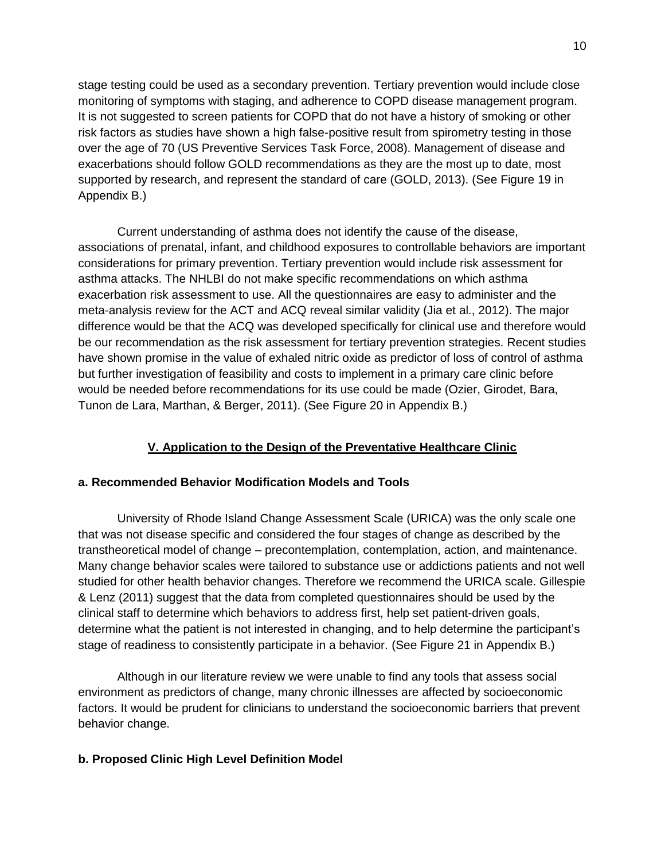stage testing could be used as a secondary prevention. Tertiary prevention would include close monitoring of symptoms with staging, and adherence to COPD disease management program. It is not suggested to screen patients for COPD that do not have a history of smoking or other risk factors as studies have shown a high false-positive result from spirometry testing in those over the age of 70 (US Preventive Services Task Force, 2008). Management of disease and exacerbations should follow GOLD recommendations as they are the most up to date, most supported by research, and represent the standard of care (GOLD, 2013). (See Figure 19 in Appendix B.)

Current understanding of asthma does not identify the cause of the disease, associations of prenatal, infant, and childhood exposures to controllable behaviors are important considerations for primary prevention. Tertiary prevention would include risk assessment for asthma attacks. The NHLBI do not make specific recommendations on which asthma exacerbation risk assessment to use. All the questionnaires are easy to administer and the meta-analysis review for the ACT and ACQ reveal similar validity (Jia et al., 2012). The major difference would be that the ACQ was developed specifically for clinical use and therefore would be our recommendation as the risk assessment for tertiary prevention strategies. Recent studies have shown promise in the value of exhaled nitric oxide as predictor of loss of control of asthma but further investigation of feasibility and costs to implement in a primary care clinic before would be needed before recommendations for its use could be made (Ozier, Girodet, Bara, Tunon de Lara, Marthan, & Berger, 2011). (See Figure 20 in Appendix B.)

## **V. Application to the Design of the Preventative Healthcare Clinic**

## **a. Recommended Behavior Modification Models and Tools**

University of Rhode Island Change Assessment Scale (URICA) was the only scale one that was not disease specific and considered the four stages of change as described by the transtheoretical model of change – precontemplation, contemplation, action, and maintenance. Many change behavior scales were tailored to substance use or addictions patients and not well studied for other health behavior changes. Therefore we recommend the URICA scale. Gillespie & Lenz (2011) suggest that the data from completed questionnaires should be used by the clinical staff to determine which behaviors to address first, help set patient-driven goals, determine what the patient is not interested in changing, and to help determine the participant's stage of readiness to consistently participate in a behavior. (See Figure 21 in Appendix B.)

 Although in our literature review we were unable to find any tools that assess social environment as predictors of change, many chronic illnesses are affected by socioeconomic factors. It would be prudent for clinicians to understand the socioeconomic barriers that prevent behavior change.

## **b. Proposed Clinic High Level Definition Model**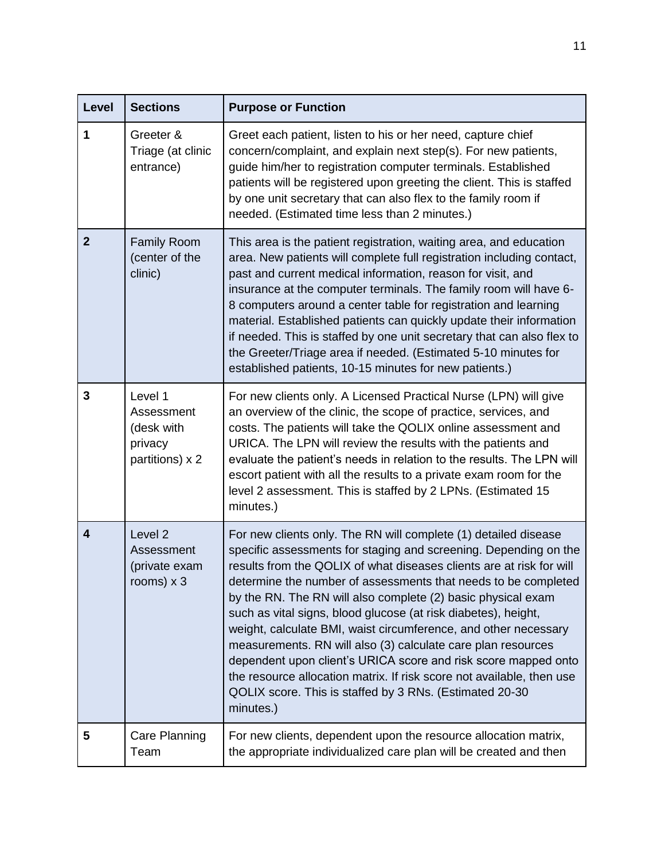| Level                   | <b>Sections</b>                                                   | <b>Purpose or Function</b>                                                                                                                                                                                                                                                                                                                                                                                                                                                                                                                                                                                                                                                                                                                                            |
|-------------------------|-------------------------------------------------------------------|-----------------------------------------------------------------------------------------------------------------------------------------------------------------------------------------------------------------------------------------------------------------------------------------------------------------------------------------------------------------------------------------------------------------------------------------------------------------------------------------------------------------------------------------------------------------------------------------------------------------------------------------------------------------------------------------------------------------------------------------------------------------------|
| 1                       | Greeter &<br>Triage (at clinic<br>entrance)                       | Greet each patient, listen to his or her need, capture chief<br>concern/complaint, and explain next step(s). For new patients,<br>guide him/her to registration computer terminals. Established<br>patients will be registered upon greeting the client. This is staffed<br>by one unit secretary that can also flex to the family room if<br>needed. (Estimated time less than 2 minutes.)                                                                                                                                                                                                                                                                                                                                                                           |
| $\mathbf{2}$            | <b>Family Room</b><br>(center of the<br>clinic)                   | This area is the patient registration, waiting area, and education<br>area. New patients will complete full registration including contact,<br>past and current medical information, reason for visit, and<br>insurance at the computer terminals. The family room will have 6-<br>8 computers around a center table for registration and learning<br>material. Established patients can quickly update their information<br>if needed. This is staffed by one unit secretary that can also flex to<br>the Greeter/Triage area if needed. (Estimated 5-10 minutes for<br>established patients, 10-15 minutes for new patients.)                                                                                                                                       |
| 3                       | Level 1<br>Assessment<br>(desk with<br>privacy<br>partitions) x 2 | For new clients only. A Licensed Practical Nurse (LPN) will give<br>an overview of the clinic, the scope of practice, services, and<br>costs. The patients will take the QOLIX online assessment and<br>URICA. The LPN will review the results with the patients and<br>evaluate the patient's needs in relation to the results. The LPN will<br>escort patient with all the results to a private exam room for the<br>level 2 assessment. This is staffed by 2 LPNs. (Estimated 15<br>minutes.)                                                                                                                                                                                                                                                                      |
| $\overline{\mathbf{4}}$ | Level <sub>2</sub><br>Assessment<br>(private exam<br>rooms) $x$ 3 | For new clients only. The RN will complete (1) detailed disease<br>specific assessments for staging and screening. Depending on the<br>results from the QOLIX of what diseases clients are at risk for will<br>determine the number of assessments that needs to be completed<br>by the RN. The RN will also complete (2) basic physical exam<br>such as vital signs, blood glucose (at risk diabetes), height,<br>weight, calculate BMI, waist circumference, and other necessary<br>measurements. RN will also (3) calculate care plan resources<br>dependent upon client's URICA score and risk score mapped onto<br>the resource allocation matrix. If risk score not available, then use<br>QOLIX score. This is staffed by 3 RNs. (Estimated 20-30<br>minutes.) |
| 5                       | Care Planning<br>Team                                             | For new clients, dependent upon the resource allocation matrix,<br>the appropriate individualized care plan will be created and then                                                                                                                                                                                                                                                                                                                                                                                                                                                                                                                                                                                                                                  |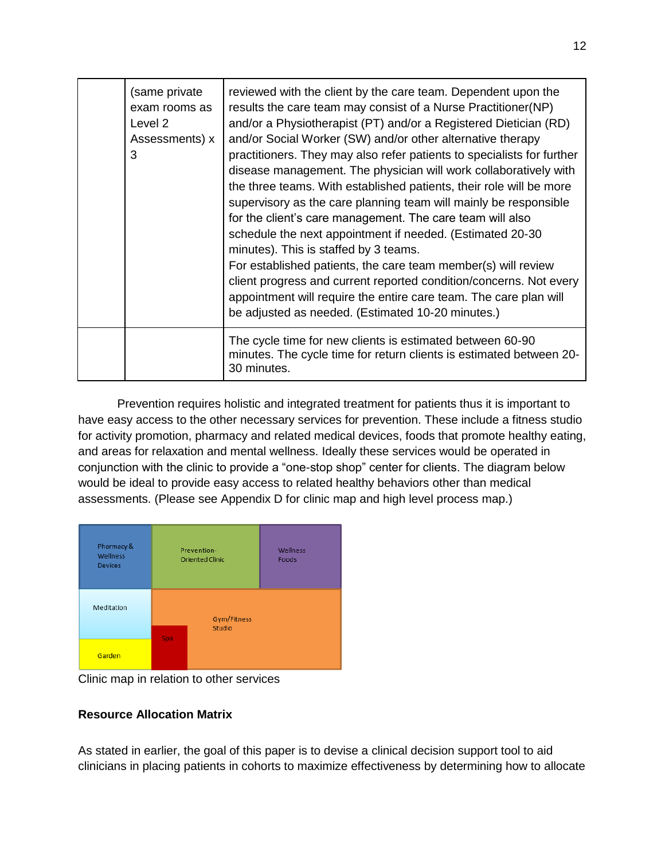| (same private<br>exam rooms as<br>Level 2<br>Assessments) x<br>3 | reviewed with the client by the care team. Dependent upon the<br>results the care team may consist of a Nurse Practitioner(NP)<br>and/or a Physiotherapist (PT) and/or a Registered Dietician (RD)<br>and/or Social Worker (SW) and/or other alternative therapy<br>practitioners. They may also refer patients to specialists for further<br>disease management. The physician will work collaboratively with<br>the three teams. With established patients, their role will be more<br>supervisory as the care planning team will mainly be responsible<br>for the client's care management. The care team will also<br>schedule the next appointment if needed. (Estimated 20-30)<br>minutes). This is staffed by 3 teams.<br>For established patients, the care team member(s) will review<br>client progress and current reported condition/concerns. Not every<br>appointment will require the entire care team. The care plan will<br>be adjusted as needed. (Estimated 10-20 minutes.) |
|------------------------------------------------------------------|------------------------------------------------------------------------------------------------------------------------------------------------------------------------------------------------------------------------------------------------------------------------------------------------------------------------------------------------------------------------------------------------------------------------------------------------------------------------------------------------------------------------------------------------------------------------------------------------------------------------------------------------------------------------------------------------------------------------------------------------------------------------------------------------------------------------------------------------------------------------------------------------------------------------------------------------------------------------------------------------|
|                                                                  | The cycle time for new clients is estimated between 60-90<br>minutes. The cycle time for return clients is estimated between 20-<br>30 minutes.                                                                                                                                                                                                                                                                                                                                                                                                                                                                                                                                                                                                                                                                                                                                                                                                                                                |

Prevention requires holistic and integrated treatment for patients thus it is important to have easy access to the other necessary services for prevention. These include a fitness studio for activity promotion, pharmacy and related medical devices, foods that promote healthy eating, and areas for relaxation and mental wellness. Ideally these services would be operated in conjunction with the clinic to provide a "one-stop shop" center for clients. The diagram below would be ideal to provide easy access to related healthy behaviors other than medical assessments. (Please see Appendix D for clinic map and high level process map.)



Clinic map in relation to other services

## **Resource Allocation Matrix**

As stated in earlier, the goal of this paper is to devise a clinical decision support tool to aid clinicians in placing patients in cohorts to maximize effectiveness by determining how to allocate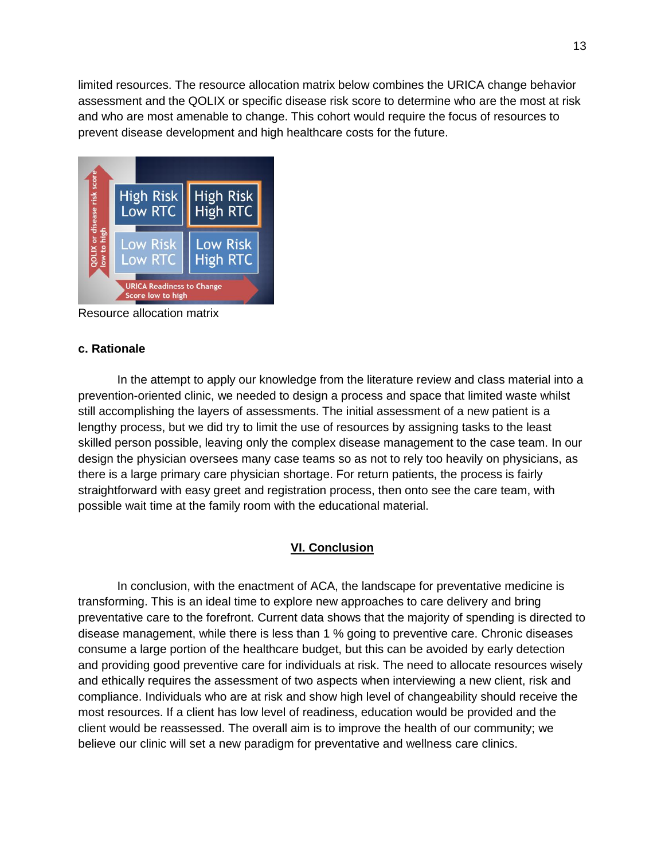limited resources. The resource allocation matrix below combines the URICA change behavior assessment and the QOLIX or specific disease risk score to determine who are the most at risk and who are most amenable to change. This cohort would require the focus of resources to prevent disease development and high healthcare costs for the future.



Resource allocation matrix

## **c. Rationale**

In the attempt to apply our knowledge from the literature review and class material into a prevention-oriented clinic, we needed to design a process and space that limited waste whilst still accomplishing the layers of assessments. The initial assessment of a new patient is a lengthy process, but we did try to limit the use of resources by assigning tasks to the least skilled person possible, leaving only the complex disease management to the case team. In our design the physician oversees many case teams so as not to rely too heavily on physicians, as there is a large primary care physician shortage. For return patients, the process is fairly straightforward with easy greet and registration process, then onto see the care team, with possible wait time at the family room with the educational material.

## **VI. Conclusion**

In conclusion, with the enactment of ACA, the landscape for preventative medicine is transforming. This is an ideal time to explore new approaches to care delivery and bring preventative care to the forefront. Current data shows that the majority of spending is directed to disease management, while there is less than 1 % going to preventive care. Chronic diseases consume a large portion of the healthcare budget, but this can be avoided by early detection and providing good preventive care for individuals at risk. The need to allocate resources wisely and ethically requires the assessment of two aspects when interviewing a new client, risk and compliance. Individuals who are at risk and show high level of changeability should receive the most resources. If a client has low level of readiness, education would be provided and the client would be reassessed. The overall aim is to improve the health of our community; we believe our clinic will set a new paradigm for preventative and wellness care clinics.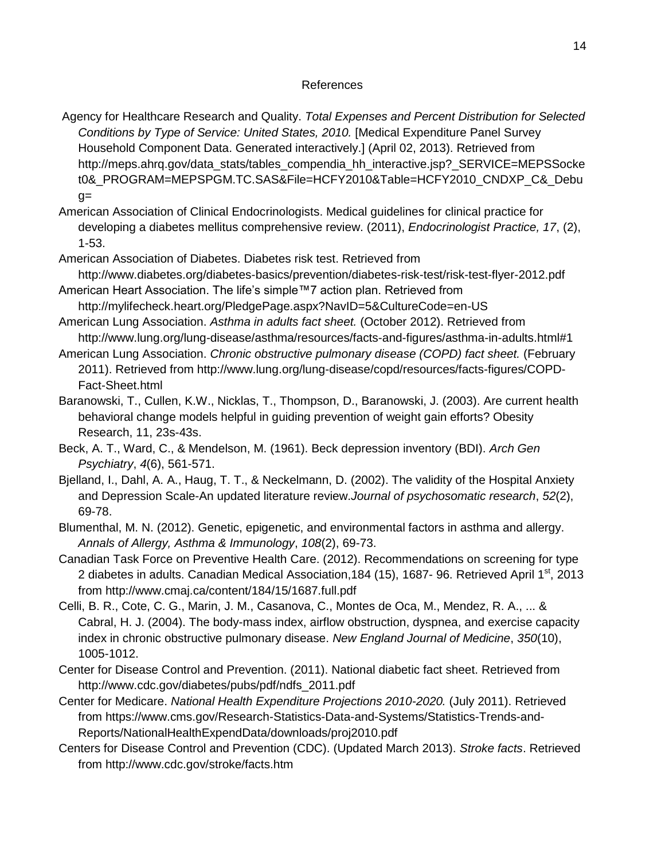#### References

- Agency for Healthcare Research and Quality. *Total Expenses and Percent Distribution for Selected Conditions by Type of Service: United States, 2010.* [Medical Expenditure Panel Survey Household Component Data. Generated interactively.] (April 02, 2013). Retrieved fro[m](http://meps.ahrq.gov/data_stats/tables_compendia_hh_interactive.jsp?_SERVICE=MEPSSocket0&_PROGRAM=MEPSPGM.TC.SAS&File=HCFY2010&Table=HCFY2010_CNDXP_C&_Debug) [http://meps.ahrq.gov/data\\_stats/tables\\_compendia\\_hh\\_interactive.jsp?\\_SERVICE=MEPSSocke](http://meps.ahrq.gov/data_stats/tables_compendia_hh_interactive.jsp?_SERVICE=MEPSSocket0&_PROGRAM=MEPSPGM.TC.SAS&File=HCFY2010&Table=HCFY2010_CNDXP_C&_Debug) [t0&\\_PROGRAM=MEPSPGM.TC.SAS&File=HCFY2010&Table=HCFY2010\\_CNDXP\\_C&\\_Debu](http://meps.ahrq.gov/data_stats/tables_compendia_hh_interactive.jsp?_SERVICE=MEPSSocket0&_PROGRAM=MEPSPGM.TC.SAS&File=HCFY2010&Table=HCFY2010_CNDXP_C&_Debug)  $q=$
- American Association of Clinical Endocrinologists. Medical guidelines for clinical practice for developing a diabetes mellitus comprehensive review. (2011), *Endocrinologist Practice, 17*, (2), 1-53.
- American Association of Diabetes. Diabetes risk test. Retrieved from <http://www.diabetes.org/diabetes-basics/prevention/diabetes-risk-test/risk-test-flyer-2012.pdf>
- American Heart Association. The life's simple™7 action plan. Retrieved from <http://mylifecheck.heart.org/PledgePage.aspx?NavID=5&CultureCode=en-US>
- American Lung Association. *Asthma in adults fact sheet.* (October 2012). Retrieved fro[m](http://www.lung.org/lung-disease/asthma/resources/facts-and-figures/asthma-in-adults.html#1) <http://www.lung.org/lung-disease/asthma/resources/facts-and-figures/asthma-in-adults.html#1>
- American Lung Association. *Chronic obstructive pulmonary disease (COPD) fact sheet.* (February 2011). Retrieved from [http://www.lung.org/lung-disease/copd/resources/facts-figures/COPD-](http://www.lung.org/lung-disease/copd/resources/facts-figures/COPD-Fact-Sheet.html)[Fact-Sheet.html](http://www.lung.org/lung-disease/copd/resources/facts-figures/COPD-Fact-Sheet.html)
- [Baranowski, T.](http://www.ncbi.nlm.nih.gov/pubmed?term=Baranowski%20T%5BAuthor%5D&cauthor=true&cauthor_uid=14569036), [Cullen, K.W.](http://www.ncbi.nlm.nih.gov/pubmed?term=Cullen%20KW%5BAuthor%5D&cauthor=true&cauthor_uid=14569036), [Nicklas, T.](http://www.ncbi.nlm.nih.gov/pubmed?term=Nicklas%20T%5BAuthor%5D&cauthor=true&cauthor_uid=14569036), [Thompson, D.](http://www.ncbi.nlm.nih.gov/pubmed?term=Thompson%20D%5BAuthor%5D&cauthor=true&cauthor_uid=14569036), [Baranowski, J.](http://www.ncbi.nlm.nih.gov/pubmed?term=Baranowski%20J%5BAuthor%5D&cauthor=true&cauthor_uid=14569036) (2003). Are current health behavioral change models helpful in guiding prevention of weight gain efforts? Obesity Research, 11, 23s-43s.
- Beck, A. T., Ward, C., & Mendelson, M. (1961). Beck depression inventory (BDI). *Arch Gen Psychiatry*, *4*(6), 561-571.
- Bjelland, I., Dahl, A. A., Haug, T. T., & Neckelmann, D. (2002). The validity of the Hospital Anxiety and Depression Scale-An updated literature review.*Journal of psychosomatic research*, *52*(2), 69-78.
- Blumenthal, M. N. (2012). Genetic, epigenetic, and environmental factors in asthma and allergy. *Annals of Allergy, Asthma & Immunology*, *108*(2), 69-73.
- Canadian Task Force on Preventive Health Care. (2012). Recommendations on screening for type 2 diabetes in adults. Canadian Medical Association, 184 (15), 1687- 96. Retrieved April 1<sup>st</sup>, 2013 from<http://www.cmaj.ca/content/184/15/1687.full.pdf>
- Celli, B. R., Cote, C. G., Marin, J. M., Casanova, C., Montes de Oca, M., Mendez, R. A., ... & Cabral, H. J. (2004). The body-mass index, airflow obstruction, dyspnea, and exercise capacity index in chronic obstructive pulmonary disease. *New England Journal of Medicine*, *350*(10), 1005-1012.
- Center for Disease Control and Prevention. (2011). National diabetic fact sheet. Retrieved from [http://www.cdc.gov/diabetes/pubs/pdf/ndfs\\_2011.pdf](http://www.cdc.gov/diabetes/pubs/pdf/ndfs_2011.pdf)
- Center for Medicare. *National Health Expenditure Projections 2010-2020.* (July 2011). Retrieved from [https://www.cms.gov/Research-Statistics-Data-and-Systems/Statistics-Trends-and-](https://www.cms.gov/Research-Statistics-Data-and-Systems/Statistics-Trends-and-Reports/NationalHealthExpendData/downloads/proj2010.pdf)[Reports/NationalHealthExpendData/downloads/proj2010.pdf](https://www.cms.gov/Research-Statistics-Data-and-Systems/Statistics-Trends-and-Reports/NationalHealthExpendData/downloads/proj2010.pdf)
- Centers for Disease Control and Prevention (CDC). (Updated March 2013). *Stroke facts*. Retrieved from http://www.cdc.gov/stroke/facts.htm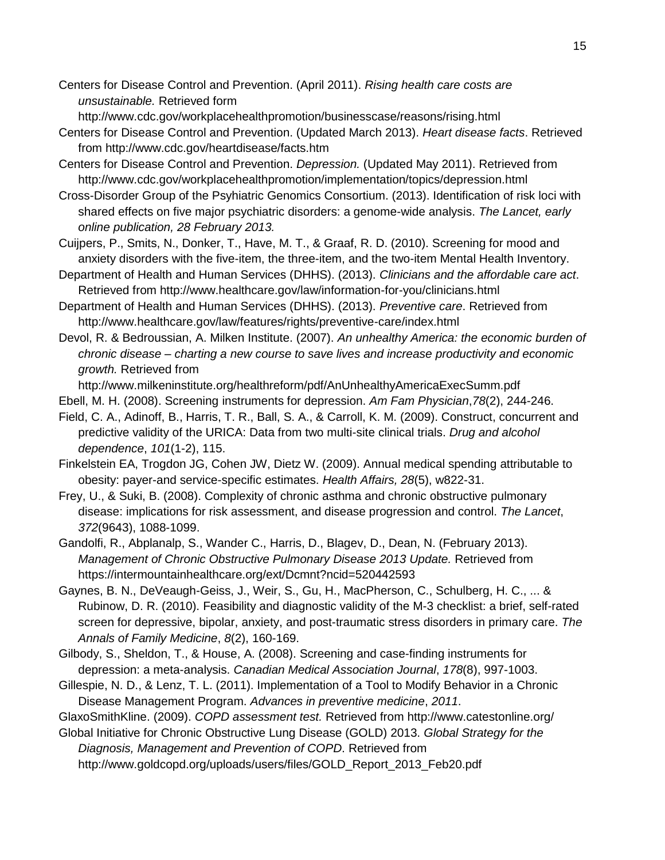Centers for Disease Control and Prevention. (April 2011). *Rising health care costs are unsustainable.* Retrieved for[m](http://www.cdc.gov/workplacehealthpromotion/businesscase/reasons/rising.html)

<http://www.cdc.gov/workplacehealthpromotion/businesscase/reasons/rising.html>

- Centers for Disease Control and Prevention. (Updated March 2013). *Heart disease facts*. Retrieved from http://www.cdc.gov/heartdisease/facts.htm
- Centers for Disease Control and Prevention. *Depression.* (Updated May 2011). Retrieved fro[m](http://www.cdc.gov/workplacehealthpromotion/implementation/topics/depression.html) <http://www.cdc.gov/workplacehealthpromotion/implementation/topics/depression.html>
- Cross-Disorder Group of the Psyhiatric Genomics Consortium. (2013). Identification of risk loci with shared effects on five major psychiatric disorders: a genome-wide analysis. *The Lancet, early online publication, 28 February 2013.*
- Cuijpers, P., Smits, N., Donker, T., Have, M. T., & Graaf, R. D. (2010). Screening for mood and anxiety disorders with the five-item, the three-item, and the two-item Mental Health Inventory.
- Department of Health and Human Services (DHHS). (2013). *Clinicians and the affordable care act*. Retrieved from http://www.healthcare.gov/law/information-for-you/clinicians.html
- Department of Health and Human Services (DHHS). (2013). *Preventive care*. Retrieved from http://www.healthcare.gov/law/features/rights/preventive-care/index.html
- Devol, R. & Bedroussian, A. Milken Institute. (2007). *An unhealthy America: the economic burden of chronic disease – charting a new course to save lives and increase productivity and economic growth.* Retrieved fro[m](http://www.milkeninstitute.org/healthreform/pdf/AnUnhealthyAmericaExecSumm.pdf)

<http://www.milkeninstitute.org/healthreform/pdf/AnUnhealthyAmericaExecSumm.pdf>

- Ebell, M. H. (2008). Screening instruments for depression. *Am Fam Physician*,*78*(2), 244-246.
- Field, C. A., Adinoff, B., Harris, T. R., Ball, S. A., & Carroll, K. M. (2009). Construct, concurrent and predictive validity of the URICA: Data from two multi-site clinical trials. *Drug and alcohol dependence*, *101*(1-2), 115.
- Finkelstein EA, Trogdon JG, Cohen JW, Dietz W. (2009). Annual medical spending attributable to obesity: payer-and service-specific estimates. *Health Affairs, 28*(5), w822-31.
- Frey, U., & Suki, B. (2008). Complexity of chronic asthma and chronic obstructive pulmonary disease: implications for risk assessment, and disease progression and control. *The Lancet*, *372*(9643), 1088-1099.
- Gandolfi, R., Abplanalp, S., Wander C., Harris, D., Blagev, D., Dean, N. (February 2013). *Management of Chronic Obstructive Pulmonary Disease 2013 Update.* Retrieved fro[m](https://intermountainhealthcare.org/ext/Dcmnt?ncid=520442593) <https://intermountainhealthcare.org/ext/Dcmnt?ncid=520442593>
- Gaynes, B. N., DeVeaugh-Geiss, J., Weir, S., Gu, H., MacPherson, C., Schulberg, H. C., ... & Rubinow, D. R. (2010). Feasibility and diagnostic validity of the M-3 checklist: a brief, self-rated screen for depressive, bipolar, anxiety, and post-traumatic stress disorders in primary care. *The Annals of Family Medicine*, *8*(2), 160-169.
- Gilbody, S., Sheldon, T., & House, A. (2008). Screening and case-finding instruments for depression: a meta-analysis. *Canadian Medical Association Journal*, *178*(8), 997-1003.
- Gillespie, N. D., & Lenz, T. L. (2011). Implementation of a Tool to Modify Behavior in a Chronic Disease Management Program. *Advances in preventive medicine*, *2011*.

GlaxoSmithKline. (2009). *COPD assessment test.* Retrieved from <http://www.catestonline.org/>

Global Initiative for Chronic Obstructive Lung Disease (GOLD) 2013. *Global Strategy for the Diagnosis, Management and Prevention of COPD*. Retrieved fro[m](http://www.goldcopd.org/uploads/users/files/GOLD_Report_2013_Feb20.pdf)

[http://www.goldcopd.org/uploads/users/files/GOLD\\_Report\\_2013\\_Feb20.pdf](http://www.goldcopd.org/uploads/users/files/GOLD_Report_2013_Feb20.pdf)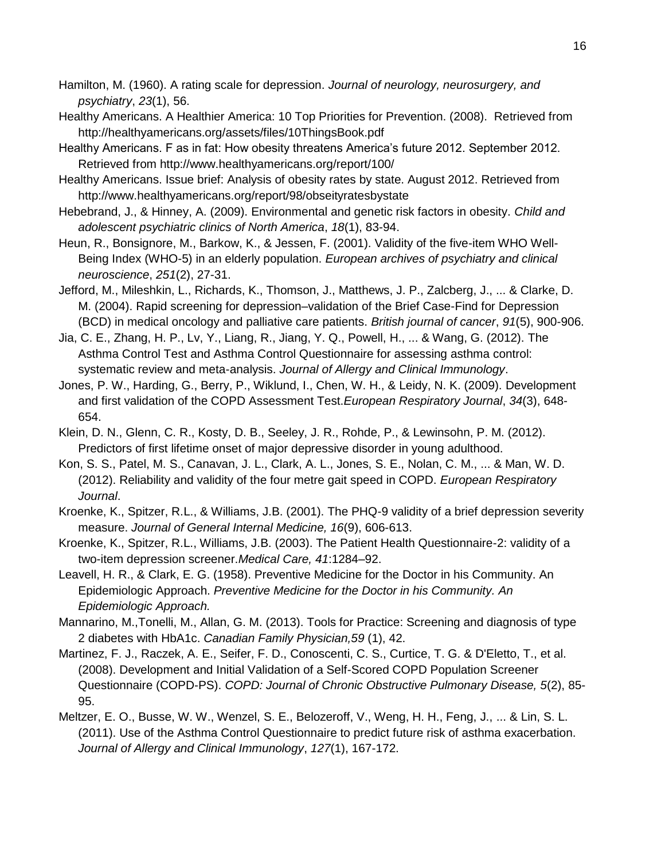- Hamilton, M. (1960). A rating scale for depression. *Journal of neurology, neurosurgery, and psychiatry*, *23*(1), 56.
- Healthy Americans. A Healthier America: 10 Top Priorities for Prevention. (2008). Retrieved from http://healthyamericans.org/assets/files/10ThingsBook.pdf
- Healthy Americans. F as in fat: How obesity threatens America's future 2012. September 2012. Retrieved from<http://www.healthyamericans.org/report/100/>
- Healthy Americans. Issue brief: Analysis of obesity rates by state. August 2012. Retrieved from <http://www.healthyamericans.org/report/98/obseityratesbystate>
- Hebebrand, J., & Hinney, A. (2009). Environmental and genetic risk factors in obesity. *Child and adolescent psychiatric clinics of North America*, *18*(1), 83-94.
- Heun, R., Bonsignore, M., Barkow, K., & Jessen, F. (2001). Validity of the five-item WHO Well-Being Index (WHO-5) in an elderly population. *European archives of psychiatry and clinical neuroscience*, *251*(2), 27-31.
- Jefford, M., Mileshkin, L., Richards, K., Thomson, J., Matthews, J. P., Zalcberg, J., ... & Clarke, D. M. (2004). Rapid screening for depression–validation of the Brief Case-Find for Depression (BCD) in medical oncology and palliative care patients. *British journal of cancer*, *91*(5), 900-906.
- Jia, C. E., Zhang, H. P., Lv, Y., Liang, R., Jiang, Y. Q., Powell, H., ... & Wang, G. (2012). The Asthma Control Test and Asthma Control Questionnaire for assessing asthma control: systematic review and meta-analysis. *Journal of Allergy and Clinical Immunology*.
- Jones, P. W., Harding, G., Berry, P., Wiklund, I., Chen, W. H., & Leidy, N. K. (2009). Development and first validation of the COPD Assessment Test.*European Respiratory Journal*, *34*(3), 648- 654.
- Klein, D. N., Glenn, C. R., Kosty, D. B., Seeley, J. R., Rohde, P., & Lewinsohn, P. M. (2012). Predictors of first lifetime onset of major depressive disorder in young adulthood.
- Kon, S. S., Patel, M. S., Canavan, J. L., Clark, A. L., Jones, S. E., Nolan, C. M., ... & Man, W. D. (2012). Reliability and validity of the four metre gait speed in COPD. *European Respiratory Journal*.
- Kroenke, K., Spitzer, R.L., & Williams, J.B. (2001). The PHQ-9 validity of a brief depression severity measure. *Journal of General Internal Medicine, 16*(9), 606-613.
- Kroenke, K., Spitzer, R.L., Williams, J.B. (2003). The Patient Health Questionnaire-2: validity of a two-item depression screener.*Medical Care, 41*:1284–92.
- Leavell, H. R., & Clark, E. G. (1958). Preventive Medicine for the Doctor in his Community. An Epidemiologic Approach. *Preventive Medicine for the Doctor in his Community. An Epidemiologic Approach.*
- Mannarino, M.,Tonelli, M., Allan, G. M. (2013). Tools for Practice: Screening and diagnosis of type 2 diabetes with HbA1c. *Canadian Family Physician,59* (1), 42.
- Martinez, F. J., Raczek, A. E., Seifer, F. D., Conoscenti, C. S., Curtice, T. G. & D'Eletto, T., et al. (2008). Development and Initial Validation of a Self-Scored COPD Population Screener Questionnaire (COPD-PS). *COPD: Journal of Chronic Obstructive Pulmonary Disease, 5*(2), 85- 95.
- Meltzer, E. O., Busse, W. W., Wenzel, S. E., Belozeroff, V., Weng, H. H., Feng, J., ... & Lin, S. L. (2011). Use of the Asthma Control Questionnaire to predict future risk of asthma exacerbation. *Journal of Allergy and Clinical Immunology*, *127*(1), 167-172.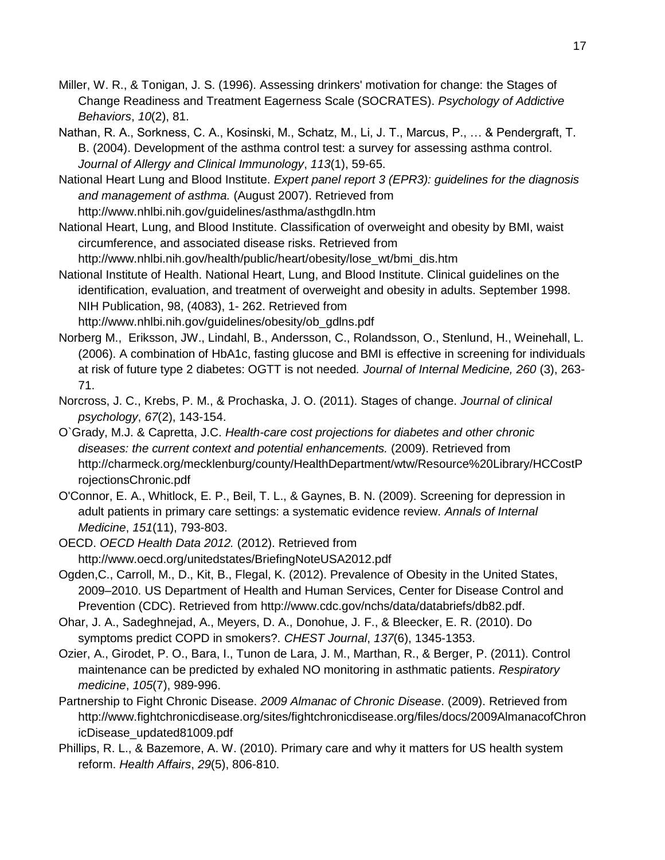Miller, W. R., & Tonigan, J. S. (1996). Assessing drinkers' motivation for change: the Stages of Change Readiness and Treatment Eagerness Scale (SOCRATES). *Psychology of Addictive Behaviors*, *10*(2), 81.

Nathan, R. A., Sorkness, C. A., Kosinski, M., Schatz, M., Li, J. T., Marcus, P., … & Pendergraft, T. B. (2004). Development of the asthma control test: a survey for assessing asthma control. *Journal of Allergy and Clinical Immunology*, *113*(1), 59-65.

National Heart Lung and Blood Institute. *Expert panel report 3 (EPR3): guidelines for the diagnosis and management of asthma.* (August 2007). Retrieved fro[m](http://www.nhlbi.nih.gov/guidelines/asthma/asthgdln.htm) <http://www.nhlbi.nih.gov/guidelines/asthma/asthgdln.htm>

National Heart, Lung, and Blood Institute. Classification of overweight and obesity by BMI, waist circumference, and associated disease risks. Retrieved from

[http://www.nhlbi.nih.gov/health/public/heart/obesity/lose\\_wt/bmi\\_dis.htm](http://www.nhlbi.nih.gov/health/public/heart/obesity/lose_wt/bmi_dis.htm)

National Institute of Health. National Heart, Lung, and Blood Institute. Clinical guidelines on the identification, evaluation, and treatment of overweight and obesity in adults. September 1998. NIH Publication, 98, (4083), 1- 262. Retrieved from

[http://www.nhlbi.nih.gov/guidelines/obesity/ob\\_gdlns.pdf](http://www.nhlbi.nih.gov/guidelines/obesity/ob_gdlns.pdf)

- [Norberg M.](http://proxy.library.upenn.edu:2082/pubmed?term=Norberg%20M%5BAuthor%5D&cauthor=true&cauthor_uid=16918824), [Eriksson, JW.](http://proxy.library.upenn.edu:2082/pubmed?term=Eriksson%20JW%5BAuthor%5D&cauthor=true&cauthor_uid=16918824), [Lindahl, B.](http://proxy.library.upenn.edu:2082/pubmed?term=Lindahl%20B%5BAuthor%5D&cauthor=true&cauthor_uid=16918824), [Andersson, C.](http://proxy.library.upenn.edu:2082/pubmed?term=Andersson%20C%5BAuthor%5D&cauthor=true&cauthor_uid=16918824), [Rolandsson, O.](http://proxy.library.upenn.edu:2082/pubmed?term=Rolandsson%20O%5BAuthor%5D&cauthor=true&cauthor_uid=16918824), [Stenlund, H.](http://proxy.library.upenn.edu:2082/pubmed?term=Stenlund%20H%5BAuthor%5D&cauthor=true&cauthor_uid=16918824), [Weinehall, L.](http://proxy.library.upenn.edu:2082/pubmed?term=Weinehall%20L%5BAuthor%5D&cauthor=true&cauthor_uid=16918824) (2006). A combination of HbA1c, fasting glucose and BMI is effective in screening for individuals at risk of future type 2 diabetes: OGTT is not needed*. Journal of Internal Medicine, 260* (3), 263- 71.
- Norcross, J. C., Krebs, P. M., & Prochaska, J. O. (2011). Stages of change. *Journal of clinical psychology*, *67*(2), 143-154.
- O`Grady, M.J. & Capretta, J.C. *Health-care cost projections for diabetes and other chronic diseases: the current context and potential enhancements.* (2009). Retrieved fro[m](http://charmeck.org/mecklenburg/county/HealthDepartment/wtw/Resource%20Library/HCCostProjectionsChronic.pdf) [http://charmeck.org/mecklenburg/county/HealthDepartment/wtw/Resource%20Library/HCCostP](http://charmeck.org/mecklenburg/county/HealthDepartment/wtw/Resource%20Library/HCCostProjectionsChronic.pdf) [rojectionsChronic.pdf](http://charmeck.org/mecklenburg/county/HealthDepartment/wtw/Resource%20Library/HCCostProjectionsChronic.pdf)
- O'Connor, E. A., Whitlock, E. P., Beil, T. L., & Gaynes, B. N. (2009). Screening for depression in adult patients in primary care settings: a systematic evidence review. *Annals of Internal Medicine*, *151*(11), 793-803.
- OECD. *OECD Health Data 2012.* (2012). Retrieved fro[m](http://www.oecd.org/unitedstates/BriefingNoteUSA2012.pdf) <http://www.oecd.org/unitedstates/BriefingNoteUSA2012.pdf>
- Ogden,C., Carroll, M., D., Kit, B., Flegal, K. (2012). Prevalence of Obesity in the United States, 2009–2010. US Department of Health and Human Services, Center for Disease Control and Prevention (CDC). Retrieved from [http://www.cdc.gov/nchs/data/databriefs/db82.pdf.](http://www.cdc.gov/nchs/data/databriefs/db82.pdf)
- Ohar, J. A., Sadeghnejad, A., Meyers, D. A., Donohue, J. F., & Bleecker, E. R. (2010). Do symptoms predict COPD in smokers?. *CHEST Journal*, *137*(6), 1345-1353.
- Ozier, A., Girodet, P. O., Bara, I., Tunon de Lara, J. M., Marthan, R., & Berger, P. (2011). Control maintenance can be predicted by exhaled NO monitoring in asthmatic patients. *Respiratory medicine*, *105*(7), 989-996.
- Partnership to Fight Chronic Disease. *2009 Almanac of Chronic Disease*. (2009). Retrieved from http://www.fightchronicdisease.org/sites/fightchronicdisease.org/files/docs/2009AlmanacofChron icDisease\_updated81009.pdf
- Phillips, R. L., & Bazemore, A. W. (2010). Primary care and why it matters for US health system reform. *Health Affairs*, *29*(5), 806-810.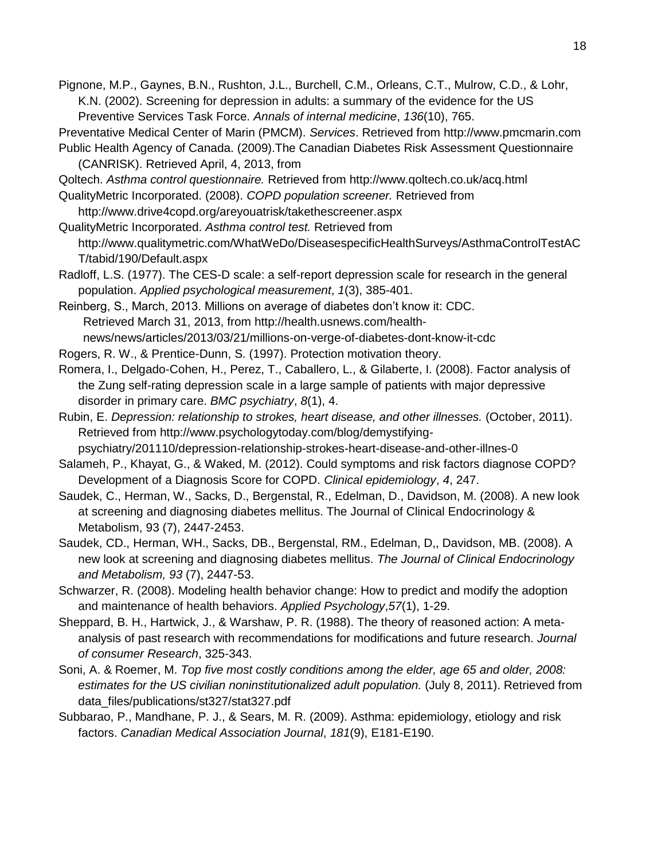- Pignone, M.P., Gaynes, B.N., Rushton, J.L., Burchell, C.M., Orleans, C.T., Mulrow, C.D., & Lohr, K.N. (2002). Screening for depression in adults: a summary of the evidence for the US Preventive Services Task Force. *Annals of internal medicine*, *136*(10), 765.
- Preventative Medical Center of Marin (PMCM). *Services*. Retrieved from http://www.pmcmarin.com
- Public Health Agency of Canada. (2009).The Canadian Diabetes Risk Assessment Questionnaire (CANRISK). Retrieved April, 4, 2013, from
- Qoltech. *Asthma control questionnaire.* Retrieved from <http://www.qoltech.co.uk/acq.html>
- QualityMetric Incorporated. (2008). *COPD population screener.* Retrieved fro[m](http://www.drive4copd.org/areyouatrisk/takethescreener.aspx)
- <http://www.drive4copd.org/areyouatrisk/takethescreener.aspx>

QualityMetric Incorporated. *Asthma control test.* Retrieved fro[m](http://www.qualitymetric.com/WhatWeDo/DiseasespecificHealthSurveys/AsthmaControlTestACT/tabid/190/Default.aspx) [http://www.qualitymetric.com/WhatWeDo/DiseasespecificHealthSurveys/AsthmaControlTestAC](http://www.qualitymetric.com/WhatWeDo/DiseasespecificHealthSurveys/AsthmaControlTestACT/tabid/190/Default.aspx) [T/tabid/190/Default.aspx](http://www.qualitymetric.com/WhatWeDo/DiseasespecificHealthSurveys/AsthmaControlTestACT/tabid/190/Default.aspx)

- Radloff, L.S. (1977). The CES-D scale: a self-report depression scale for research in the general population. *Applied psychological measurement*, *1*(3), 385-401.
- Reinberg, S., March, 2013. Millions on average of diabetes don't know it: CDC. Retrieved March 31, 2013, from [http://health.usnews.com/health](http://health.usnews.com/health-news/news/articles/2013/03/21/millions-on-verge-of-diabetes-dont-know-it-cdc)[news/news/articles/2013/03/21/millions-on-verge-of-diabetes-dont-know-it-cdc](http://health.usnews.com/health-news/news/articles/2013/03/21/millions-on-verge-of-diabetes-dont-know-it-cdc)
- Rogers, R. W., & Prentice-Dunn, S. (1997). Protection motivation theory.
- Romera, I., Delgado-Cohen, H., Perez, T., Caballero, L., & Gilaberte, I. (2008). Factor analysis of the Zung self-rating depression scale in a large sample of patients with major depressive disorder in primary care. *BMC psychiatry*, *8*(1), 4.
- Rubin, E. *Depression: relationship to strokes, heart disease, and other illnesses.* (October, 2011). Retrieved from [http://www.psychologytoday.com/blog/demystifying-](http://www.psychologytoday.com/blog/demystifying-psychiatry/201110/depression-relationship-strokes-heart-disease-and-other-illnes-0)
- [psychiatry/201110/depression-relationship-strokes-heart-disease-and-other-illnes-0](http://www.psychologytoday.com/blog/demystifying-psychiatry/201110/depression-relationship-strokes-heart-disease-and-other-illnes-0)
- Salameh, P., Khayat, G., & Waked, M. (2012). Could symptoms and risk factors diagnose COPD? Development of a Diagnosis Score for COPD. *Clinical epidemiology*, *4*, 247.
- Saudek, C., Herman, W., Sacks, D., Bergenstal, R., Edelman, D., Davidson, M. (2008). A new look at screening and diagnosing diabetes mellitus. The Journal of Clinical Endocrinology & Metabolism, 93 (7), 2447-2453.
- [Saudek, CD.](http://proxy.library.upenn.edu:2082/pubmed?term=Saudek%20CD%5BAuthor%5D&cauthor=true&cauthor_uid=18460560), [Herman, WH.](http://proxy.library.upenn.edu:2082/pubmed?term=Herman%20WH%5BAuthor%5D&cauthor=true&cauthor_uid=18460560), [Sacks, DB.](http://proxy.library.upenn.edu:2082/pubmed?term=Sacks%20DB%5BAuthor%5D&cauthor=true&cauthor_uid=18460560), [Bergenstal, RM.](http://proxy.library.upenn.edu:2082/pubmed?term=Bergenstal%20RM%5BAuthor%5D&cauthor=true&cauthor_uid=18460560), [Edelman, D,](http://proxy.library.upenn.edu:2082/pubmed?term=Edelman%20D%5BAuthor%5D&cauthor=true&cauthor_uid=18460560), [Davidson, MB.](http://proxy.library.upenn.edu:2082/pubmed?term=Davidson%20MB%5BAuthor%5D&cauthor=true&cauthor_uid=18460560) (2008). A new look at screening and diagnosing diabetes mellitus. *The Journal of Clinical Endocrinology and Metabolism, 93* (7), 2447-53.
- Schwarzer, R. (2008). Modeling health behavior change: How to predict and modify the adoption and maintenance of health behaviors. *Applied Psychology*,*57*(1), 1-29.
- Sheppard, B. H., Hartwick, J., & Warshaw, P. R. (1988). The theory of reasoned action: A metaanalysis of past research with recommendations for modifications and future research. *Journal of consumer Research*, 325-343.
- Soni, A. & Roemer, M. *Top five most costly conditions among the elder, age 65 and older, 2008: estimates for the US civilian noninstitutionalized adult population.* (July 8, 2011). Retrieved fro[m](http://meps.ahrq.gov/mepsweb/data_files/publications/st327/stat327.pdf) [data\\_files/publications/st327/stat327.pdf](http://meps.ahrq.gov/mepsweb/data_files/publications/st327/stat327.pdf)
- Subbarao, P., Mandhane, P. J., & Sears, M. R. (2009). Asthma: epidemiology, etiology and risk factors. *Canadian Medical Association Journal*, *181*(9), E181-E190.